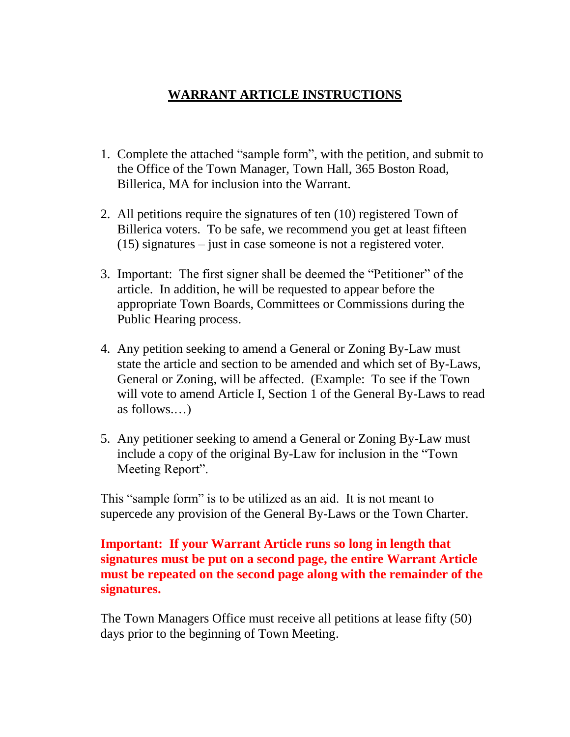# **WARRANT ARTICLE INSTRUCTIONS**

- 1. Complete the attached "sample form", with the petition, and submit to the Office of the Town Manager, Town Hall, 365 Boston Road, Billerica, MA for inclusion into the Warrant.
- 2. All petitions require the signatures of ten (10) registered Town of Billerica voters. To be safe, we recommend you get at least fifteen (15) signatures – just in case someone is not a registered voter.
- 3. Important: The first signer shall be deemed the "Petitioner" of the article. In addition, he will be requested to appear before the appropriate Town Boards, Committees or Commissions during the Public Hearing process.
- 4. Any petition seeking to amend a General or Zoning By-Law must state the article and section to be amended and which set of By-Laws, General or Zoning, will be affected. (Example: To see if the Town will vote to amend Article I, Section 1 of the General By-Laws to read as follows.…)
- 5. Any petitioner seeking to amend a General or Zoning By-Law must include a copy of the original By-Law for inclusion in the "Town Meeting Report".

This "sample form" is to be utilized as an aid. It is not meant to supercede any provision of the General By-Laws or the Town Charter.

## **Important: If your Warrant Article runs so long in length that signatures must be put on a second page, the entire Warrant Article must be repeated on the second page along with the remainder of the signatures.**

The Town Managers Office must receive all petitions at lease fifty (50) days prior to the beginning of Town Meeting.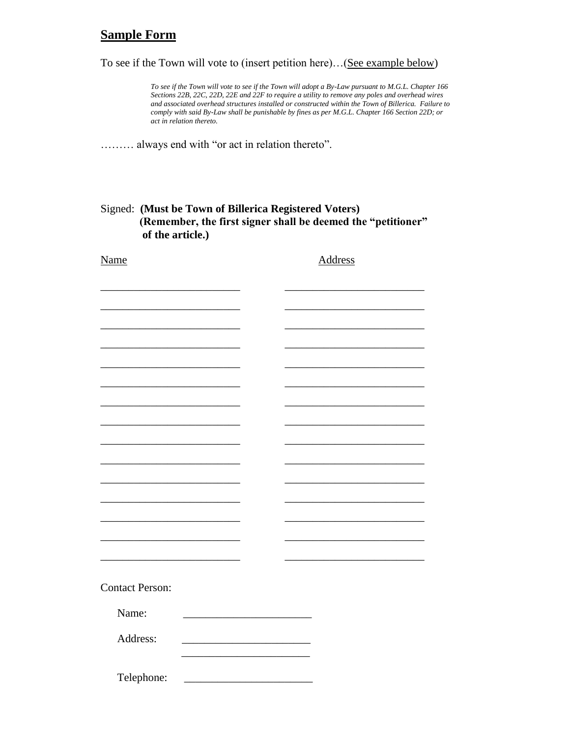### **Sample Form**

To see if the Town will vote to (insert petition here)…(See example below)

*To see if the Town will vote to see if the Town will adopt a By-Law pursuant to M.G.L. Chapter 166 Sections 22B, 22C, 22D, 22E and 22F to require a utility to remove any poles and overhead wires and associated overhead structures installed or constructed within the Town of Billerica. Failure to comply with said By-Law shall be punishable by fines as per M.G.L. Chapter 166 Section 22D; or act in relation thereto.*

……… always end with "or act in relation thereto".

#### Signed: **(Must be Town of Billerica Registered Voters) (Remember, the first signer shall be deemed the "petitioner" of the article.)**

| <b>Name</b>            |  | <b>Address</b> |  |  |
|------------------------|--|----------------|--|--|
|                        |  |                |  |  |
|                        |  |                |  |  |
|                        |  |                |  |  |
|                        |  |                |  |  |
|                        |  |                |  |  |
|                        |  |                |  |  |
|                        |  |                |  |  |
|                        |  |                |  |  |
|                        |  |                |  |  |
|                        |  |                |  |  |
|                        |  |                |  |  |
|                        |  |                |  |  |
|                        |  |                |  |  |
|                        |  |                |  |  |
|                        |  |                |  |  |
|                        |  |                |  |  |
| <b>Contact Person:</b> |  |                |  |  |
| Name:                  |  |                |  |  |
| Address:               |  |                |  |  |
|                        |  |                |  |  |
| Telephone:             |  |                |  |  |